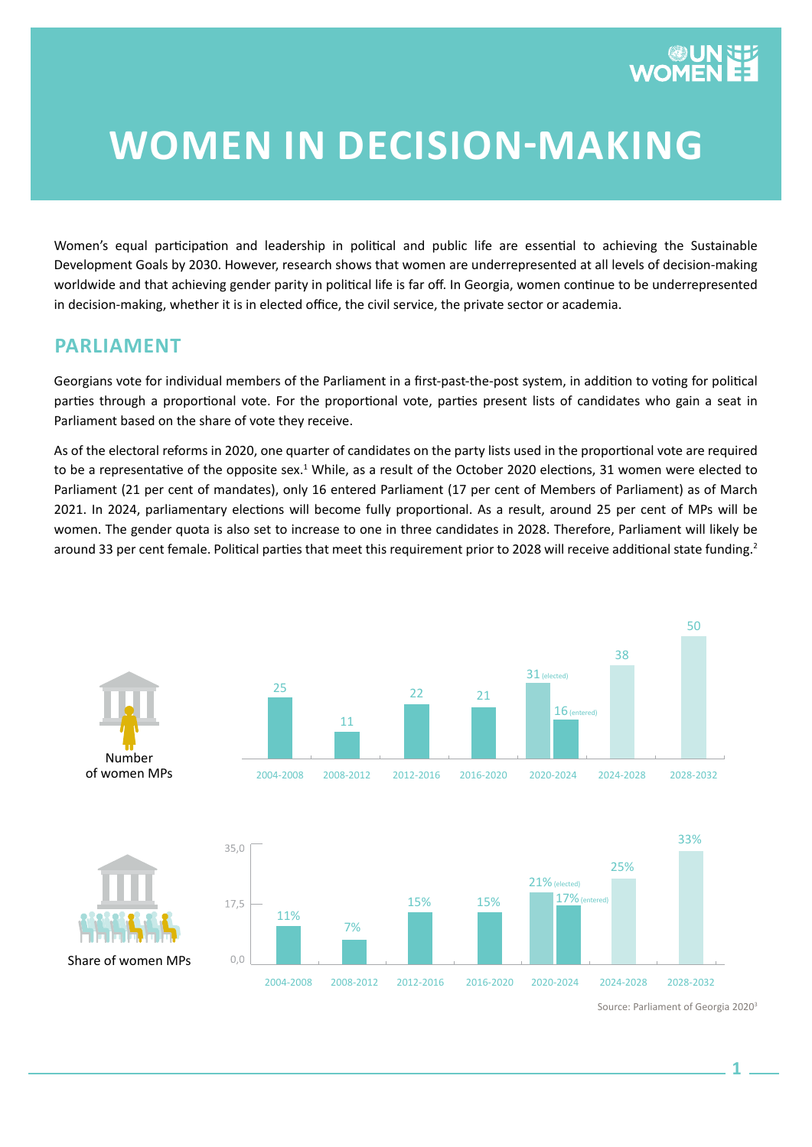# **WOMEN IN DECISION-MAKING**

Women's equal participation and leadership in political and public life are essential to achieving the Sustainable Development Goals by 2030. However, research shows that women are underrepresented at all levels of decision-making worldwide and that achieving gender parity in political life is far off. In Georgia, women continue to be underrepresented in decision-making, whether it is in elected office, the civil service, the private sector or academia.

#### **PARLIAMENT**

Georgians vote for individual members of the Parliament in a first-past-the-post system, in addition to voting for political parties through a proportional vote. For the proportional vote, parties present lists of candidates who gain a seat in Parliament based on the share of vote they receive.

As of the electoral reforms in 2020, one quarter of candidates on the party lists used in the proportional vote are required to be a representative of the opposite sex.<sup>1</sup> While, as a result of the October 2020 elections, 31 women were elected to Parliament (21 per cent of mandates), only 16 entered Parliament (17 per cent of Members of Parliament) as of March 2021. In 2024, parliamentary elections will become fully proportional. As a result, around 25 per cent of MPs will be women. The gender quota is also set to increase to one in three candidates in 2028. Therefore, Parliament will likely be around 33 per cent female. Political parties that meet this requirement prior to 2028 will receive additional state funding.<sup>2</sup>



Source: Parliament of Georgia 20203

50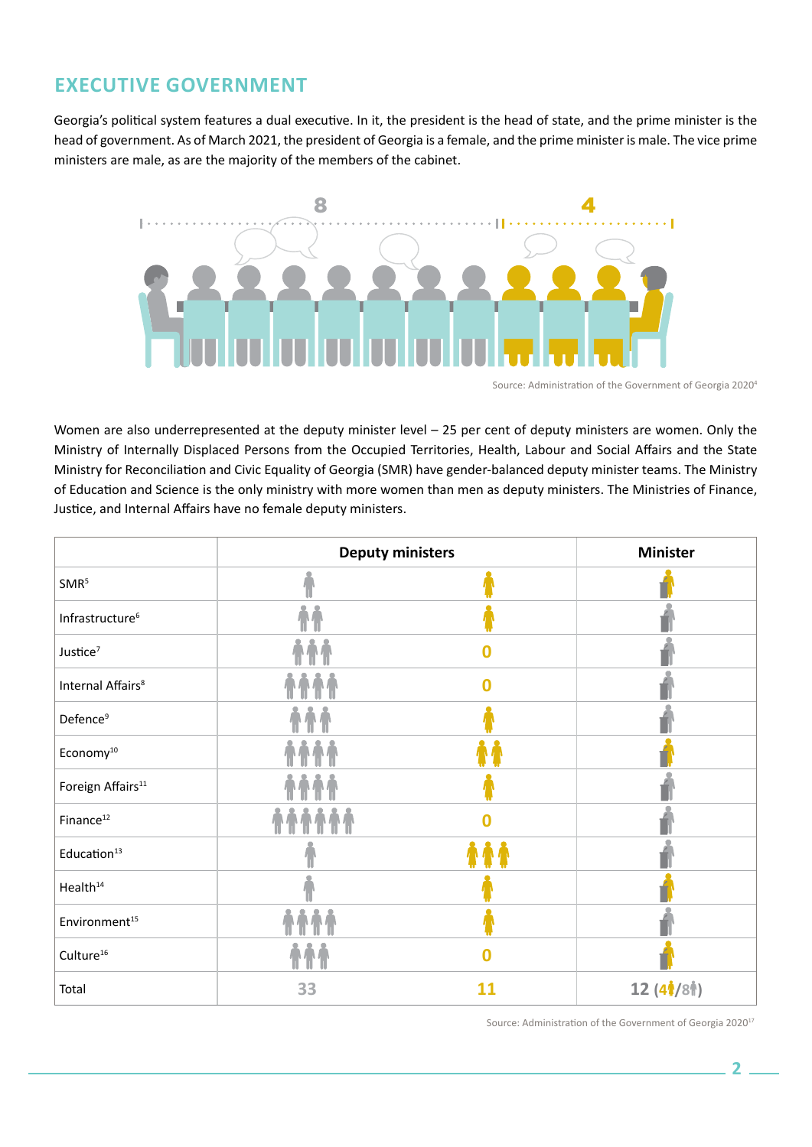## **EXECUTIVE GOVERNMENT**

Georgia's political system features a dual executive. In it, the president is the head of state, and the prime minister is the head of government. As of March 2021, the president of Georgia is a female, and the prime minister is male. The vice prime ministers are male, as are the majority of the members of the cabinet.



Source: Administration of the Government of Georgia 20204

Women are also underrepresented at the deputy minister level – 25 per cent of deputy ministers are women. Only the Ministry of Internally Displaced Persons from the Occupied Territories, Health, Labour and Social Affairs and the State Ministry for Reconciliation and Civic Equality of Georgia (SMR) have gender-balanced deputy minister teams. The Ministry of Education and Science is the only ministry with more women than men as deputy ministers. The Ministries of Finance, Justice, and Internal Affairs have no female deputy ministers.

|                               | <b>Deputy ministers</b> | <b>Minister</b> |                                                                                    |
|-------------------------------|-------------------------|-----------------|------------------------------------------------------------------------------------|
| SMR <sup>5</sup>              |                         |                 |                                                                                    |
| Infrastructure <sup>6</sup>   |                         |                 |                                                                                    |
| Justice <sup>7</sup>          |                         | 0               |                                                                                    |
| Internal Affairs <sup>8</sup> | <b>AAA</b>              |                 |                                                                                    |
| Defence <sup>9</sup>          |                         |                 |                                                                                    |
| Economy <sup>10</sup>         |                         |                 |                                                                                    |
| Foreign Affairs <sup>11</sup> |                         |                 |                                                                                    |
| Finance <sup>12</sup>         |                         | Ω               |                                                                                    |
| Education <sup>13</sup>       |                         |                 |                                                                                    |
| Health <sup>14</sup>          |                         |                 |                                                                                    |
| Environment <sup>15</sup>     |                         |                 |                                                                                    |
| Culture <sup>16</sup>         |                         |                 |                                                                                    |
| Total                         | 33                      | 11              | 12 (4 <sup><math>\frac{1}{2}</math></sup> /8 <sup><math>\frac{1}{2}</math></sup> ) |

Source: Administration of the Government of Georgia 2020<sup>17</sup>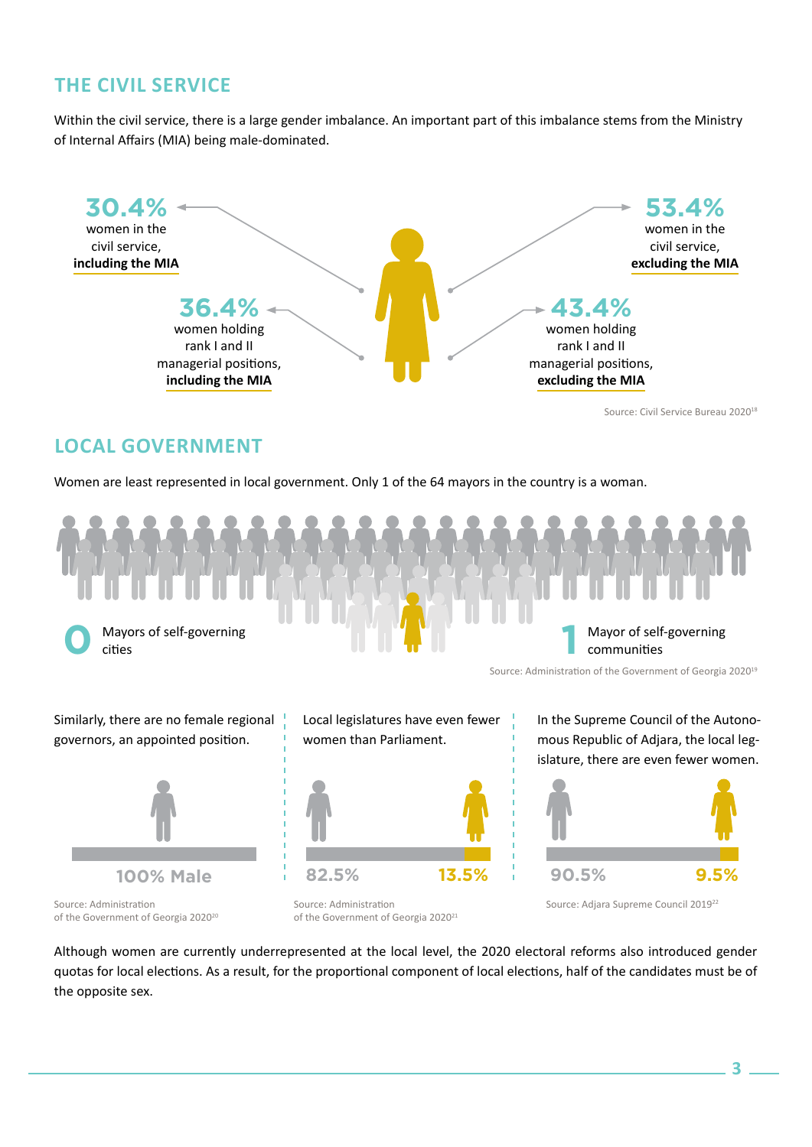## **THE CIVIL SERVICE**

Within the civil service, there is a large gender imbalance. An important part of this imbalance stems from the Ministry of Internal Affairs (MIA) being male-dominated.



Source: Civil Service Bureau 2020<sup>18</sup>

#### **LOCAL GOVERNMENT**

Women are least represented in local government. Only 1 of the 64 mayors in the country is a woman.



Similarly, there are no female regional governors, an appointed position.



Source: Administration of the Government of Georgia 2020<sup>20</sup> Local legislatures have even fewer women than Parliament.



Source: Administration of the Government of Georgia 2020<sup>21</sup> In the Supreme Council of the Autonomous Republic of Adjara, the local legislature, there are even fewer women.



Source: Adjara Supreme Council 2019<sup>22</sup>

Although women are currently underrepresented at the local level, the 2020 electoral reforms also introduced gender quotas for local elections. As a result, for the proportional component of local elections, half of the candidates must be of the opposite sex.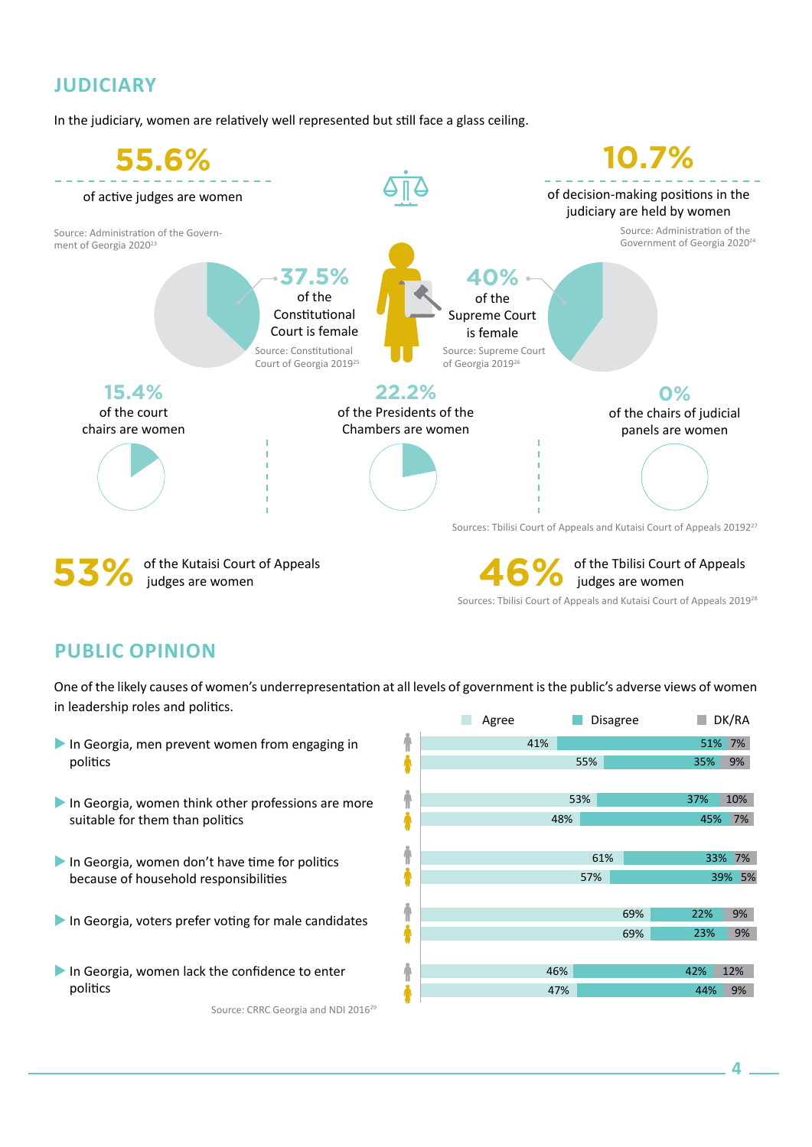## **JUDICIARY**

In the judiciary, women are relatively well represented but still face a glass ceiling.



### **PUBLIC OPINION**

One of the likely causes of women's underrepresentation at all levels of government is the public's adverse views of women in leadership roles and politics.

 In Georgia, men prevent women from engaging in politics In Georgia, women think other professions are more suitable for them than politics In Georgia, women don't have time for politics because of household responsibilities In Georgia, voters prefer voting for male candidates In Georgia, women lack the confidence to enter politics Source: CRRC Georgia and NDI 2016<sup>29</sup>

|        | Agree | Disagree |     | H.  | DK/RA  |  |
|--------|-------|----------|-----|-----|--------|--|
| ł      | 41%   |          |     | 51% | 7%     |  |
| ł      |       | 55%      |     | 35% | 9%     |  |
|        |       |          |     |     |        |  |
|        |       | 53%      |     | 37% | 10%    |  |
| i<br>1 | 48%   |          |     | 45% | 7%     |  |
|        |       |          |     |     |        |  |
| ł,     |       | 61%      |     | 33% | 7%     |  |
|        |       | 57%      |     |     | 39% 5% |  |
|        |       |          |     |     |        |  |
| ł,     |       |          | 69% | 22% | 9%     |  |
|        |       |          | 69% | 23% | 9%     |  |
|        |       |          |     |     |        |  |
| ł      | 46%   |          |     | 42% | 12%    |  |
| ł      | 47%   |          |     | 44% | 9%     |  |
|        |       |          |     |     |        |  |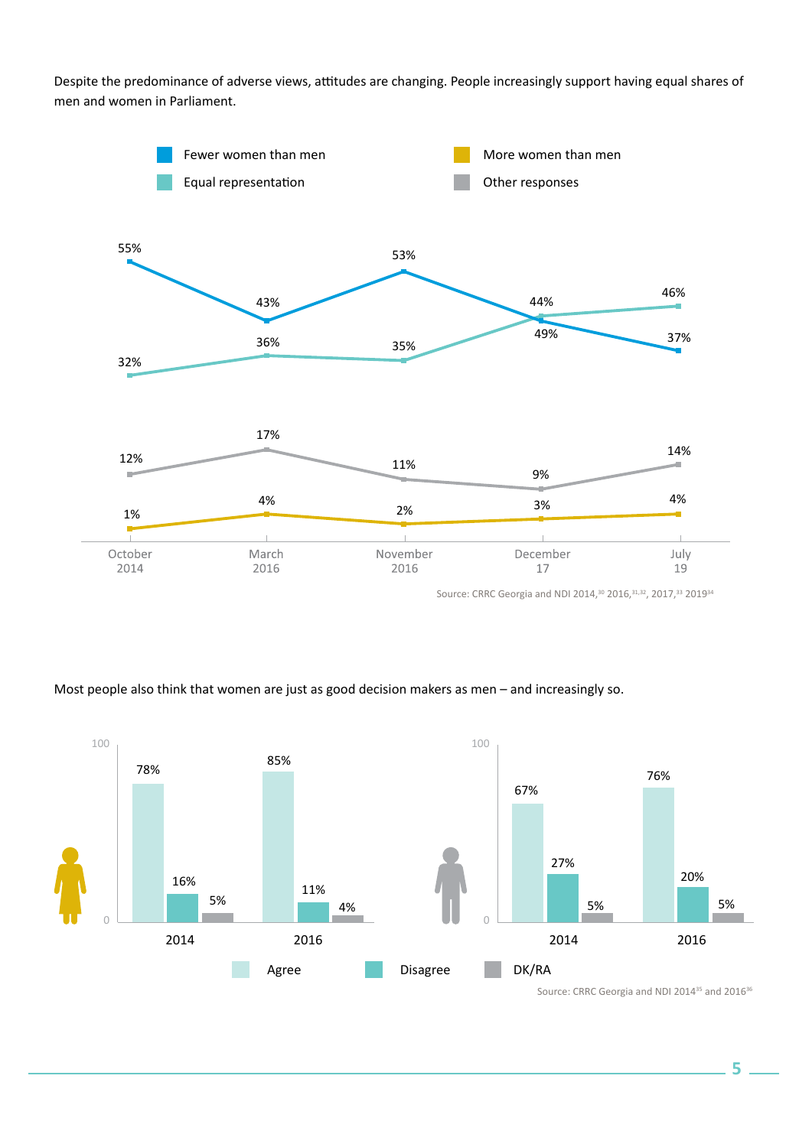Despite the predominance of adverse views, attitudes are changing. People increasingly support having equal shares of men and women in Parliament.



Source: CRRC Georgia and NDI 2014,<sup>30</sup> 2016,<sup>31,32</sup>, 2017,<sup>33</sup> 2019<sup>34</sup>

#### Most people also think that women are just as good decision makers as men – and increasingly so.



Source: CRRC Georgia and NDI 2014<sup>35</sup> and 2016<sup>36</sup>